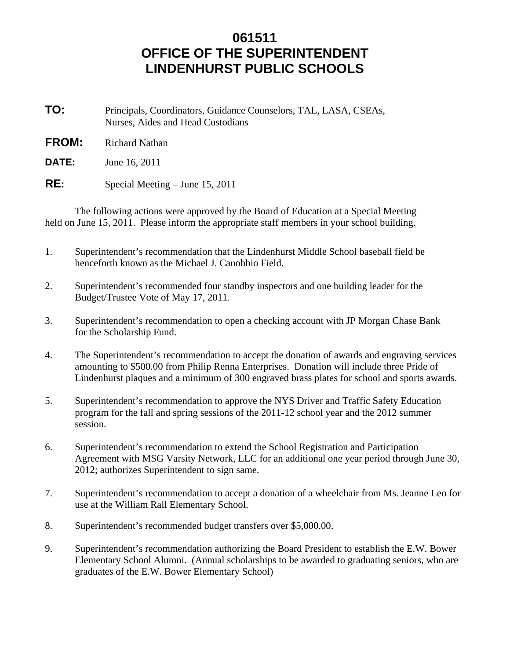## **061511 OFFICE OF THE SUPERINTENDENT LINDENHURST PUBLIC SCHOOLS**

- **TO:** Principals, Coordinators, Guidance Counselors, TAL, LASA, CSEAs, Nurses, Aides and Head Custodians
- **FROM:** Richard Nathan
- **DATE:** June 16, 2011
- **RE:** Special Meeting June 15, 2011

 The following actions were approved by the Board of Education at a Special Meeting held on June 15, 2011. Please inform the appropriate staff members in your school building.

- 1. Superintendent's recommendation that the Lindenhurst Middle School baseball field be henceforth known as the Michael J. Canobbio Field.
- 2. Superintendent's recommended four standby inspectors and one building leader for the Budget/Trustee Vote of May 17, 2011.
- 3. Superintendent's recommendation to open a checking account with JP Morgan Chase Bank for the Scholarship Fund.
- 4. The Superintendent's recommendation to accept the donation of awards and engraving services amounting to \$500.00 from Philip Renna Enterprises. Donation will include three Pride of Lindenhurst plaques and a minimum of 300 engraved brass plates for school and sports awards.
- 5. Superintendent's recommendation to approve the NYS Driver and Traffic Safety Education program for the fall and spring sessions of the 2011-12 school year and the 2012 summer session.
- 6. Superintendent's recommendation to extend the School Registration and Participation Agreement with MSG Varsity Network, LLC for an additional one year period through June 30, 2012; authorizes Superintendent to sign same.
- 7. Superintendent's recommendation to accept a donation of a wheelchair from Ms. Jeanne Leo for use at the William Rall Elementary School.
- 8. Superintendent's recommended budget transfers over \$5,000.00.
- 9. Superintendent's recommendation authorizing the Board President to establish the E.W. Bower Elementary School Alumni. (Annual scholarships to be awarded to graduating seniors, who are graduates of the E.W. Bower Elementary School)